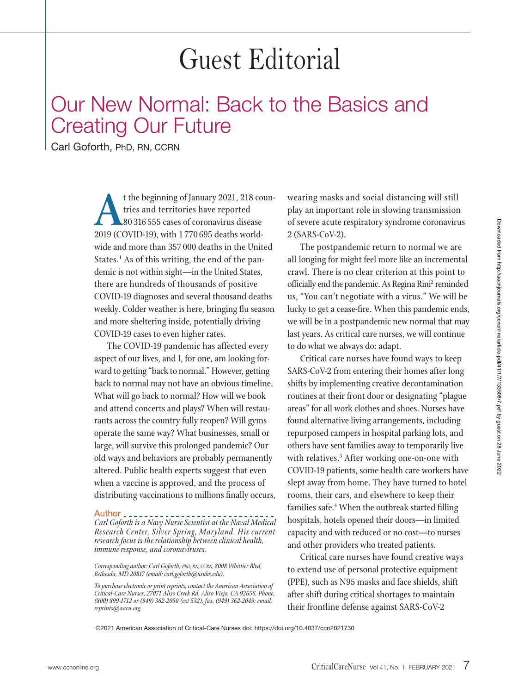## Guest Editorial

## Our New Normal: Back to the Basics and Creating Our Future

Carl Goforth, PhD, RN, CCRN

t the beginning of January 2021, 218 countries and territories have reported<br>
2019 (COVID-19), with 1770 695 deaths world-<br>
2019 (COVID-19), with 1770 695 deaths worldtries and territories have reported 80 316 555 cases of coronavirus disease wide and more than 357 000 deaths in the United States.<sup>1</sup> As of this writing, the end of the pandemic is not within sight—in the United States, there are hundreds of thousands of positive COVID-19 diagnoses and several thousand deaths weekly. Colder weather is here, bringing flu season and more sheltering inside, potentially driving COVID-19 cases to even higher rates.

The COVID-19 pandemic has affected every aspect of our lives, and I, for one, am looking forward to getting "back to normal." However, getting back to normal may not have an obvious timeline. What will go back to normal? How will we book and attend concerts and plays? When will restaurants across the country fully reopen? Will gyms operate the same way? What businesses, small or large, will survive this prolonged pandemic? Our old ways and behaviors are probably permanently altered. Public health experts suggest that even when a vaccine is approved, and the process of distributing vaccinations to millions finally occurs,

Author *Carl Goforth is a Navy Nurse Scientist at the Naval Medical Research Center, Silver Spring, Maryland. His current research focus is the relationship between clinical health, immune response, and coronaviruses.*

*Corresponding author: Carl Goforth, PhD, RN, CCRN, 8008 Whittier Blvd, Bethesda, MD 20817 (email: carl.goforth@usuhs.edu).*

*To purchase electronic or print reprints, contact the American Association of Critical-Care Nurses, 27071 Aliso Creek Rd, Aliso Viejo, CA 92656. Phone, (800) 899-1712 or (949) 362-2050 (ext 532); fax, (949) 362-2049; email, reprints@aacn.org.*

wearing masks and social distancing will still play an important role in slowing transmission of severe acute respiratory syndrome coronavirus 2 (SARS-CoV-2).

The postpandemic return to normal we are all longing for might feel more like an incremental crawl. There is no clear criterion at this point to officially end the pandemic. As Regina Rini<sup>2</sup> reminded us, "You can't negotiate with a virus." We will be lucky to get a cease-fire. When this pandemic ends, we will be in a postpandemic new normal that may last years. As critical care nurses, we will continue to do what we always do: adapt.

Critical care nurses have found ways to keep SARS-CoV-2 from entering their homes after long shifts by implementing creative decontamination routines at their front door or designating "plague areas" for all work clothes and shoes. Nurses have found alternative living arrangements, including repurposed campers in hospital parking lots, and others have sent families away to temporarily live with relatives.<sup>3</sup> After working one-on-one with COVID-19 patients, some health care workers have slept away from home. They have turned to hotel rooms, their cars, and elsewhere to keep their families safe.4 When the outbreak started filling hospitals, hotels opened their doors—in limited capacity and with reduced or no cost—to nurses and other providers who treated patients.

Critical care nurses have found creative ways to extend use of personal protective equipment (PPE), such as N95 masks and face shields, shift after shift during critical shortages to maintain their frontline defense against SARS-CoV-2

©2021 American Association of Critical-Care Nurses doi: https://doi.org/10.4037/ccn2021730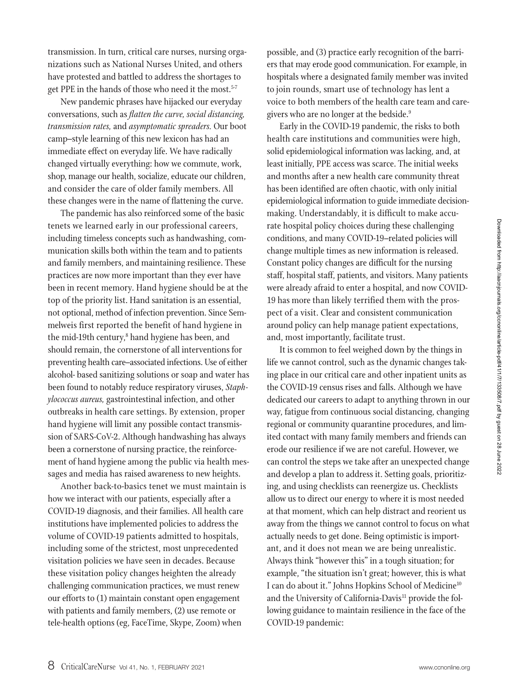transmission. In turn, critical care nurses, nursing organizations such as National Nurses United, and others have protested and battled to address the shortages to get PPE in the hands of those who need it the most.<sup>5-7</sup>

New pandemic phrases have hijacked our everyday conversations, such as *flatten the curve, social distancing, transmission rates,* and *asymptomatic spreaders.* Our boot camp–style learning of this new lexicon has had an immediate effect on everyday life. We have radically changed virtually everything: how we commute, work, shop, manage our health, socialize, educate our children, and consider the care of older family members. All these changes were in the name of flattening the curve.

The pandemic has also reinforced some of the basic tenets we learned early in our professional careers, including timeless concepts such as handwashing, communication skills both within the team and to patients and family members, and maintaining resilience. These practices are now more important than they ever have been in recent memory. Hand hygiene should be at the top of the priority list. Hand sanitation is an essential, not optional, method of infection prevention. Since Semmelweis first reported the benefit of hand hygiene in the mid-19th century, $^{\mathrm{s}}$  hand hygiene has been, and should remain, the cornerstone of all interventions for preventing health care–associated infections. Use of either alcohol- based sanitizing solutions or soap and water has been found to notably reduce respiratory viruses, *Staphylococcus aureus,* gastrointestinal infection, and other outbreaks in health care settings. By extension, proper hand hygiene will limit any possible contact transmission of SARS-CoV-2. Although handwashing has always been a cornerstone of nursing practice, the reinforcement of hand hygiene among the public via health messages and media has raised awareness to new heights.

Another back-to-basics tenet we must maintain is how we interact with our patients, especially after a COVID-19 diagnosis, and their families. All health care institutions have implemented policies to address the volume of COVID-19 patients admitted to hospitals, including some of the strictest, most unprecedented visitation policies we have seen in decades. Because these visitation policy changes heighten the already challenging communication practices, we must renew our efforts to (1) maintain constant open engagement with patients and family members, (2) use remote or tele-health options (eg, FaceTime, Skype, Zoom) when

possible, and (3) practice early recognition of the barriers that may erode good communication. For example, in hospitals where a designated family member was invited to join rounds, smart use of technology has lent a voice to both members of the health care team and caregivers who are no longer at the bedside.<sup>9</sup>

Early in the COVID-19 pandemic, the risks to both health care institutions and communities were high, solid epidemiological information was lacking, and, at least initially, PPE access was scarce. The initial weeks and months after a new health care community threat has been identified are often chaotic, with only initial epidemiological information to guide immediate decisionmaking. Understandably, it is difficult to make accurate hospital policy choices during these challenging conditions, and many COVID-19–related policies will change multiple times as new information is released. Constant policy changes are difficult for the nursing staff, hospital staff, patients, and visitors. Many patients were already afraid to enter a hospital, and now COVID-19 has more than likely terrified them with the prospect of a visit. Clear and consistent communication around policy can help manage patient expectations, and, most importantly, facilitate trust.

It is common to feel weighed down by the things in life we cannot control, such as the dynamic changes taking place in our critical care and other inpatient units as the COVID-19 census rises and falls. Although we have dedicated our careers to adapt to anything thrown in our way, fatigue from continuous social distancing, changing regional or community quarantine procedures, and limited contact with many family members and friends can erode our resilience if we are not careful. However, we can control the steps we take after an unexpected change and develop a plan to address it. Setting goals, prioritizing, and using checklists can reenergize us. Checklists allow us to direct our energy to where it is most needed at that moment, which can help distract and reorient us away from the things we cannot control to focus on what actually needs to get done. Being optimistic is important, and it does not mean we are being unrealistic. Always think "however this" in a tough situation; for example, "the situation isn't great; however, this is what I can do about it." Johns Hopkins School of Medicine<sup>10</sup> and the University of California-Davis<sup>11</sup> provide the following guidance to maintain resilience in the face of the COVID-19 pandemic: